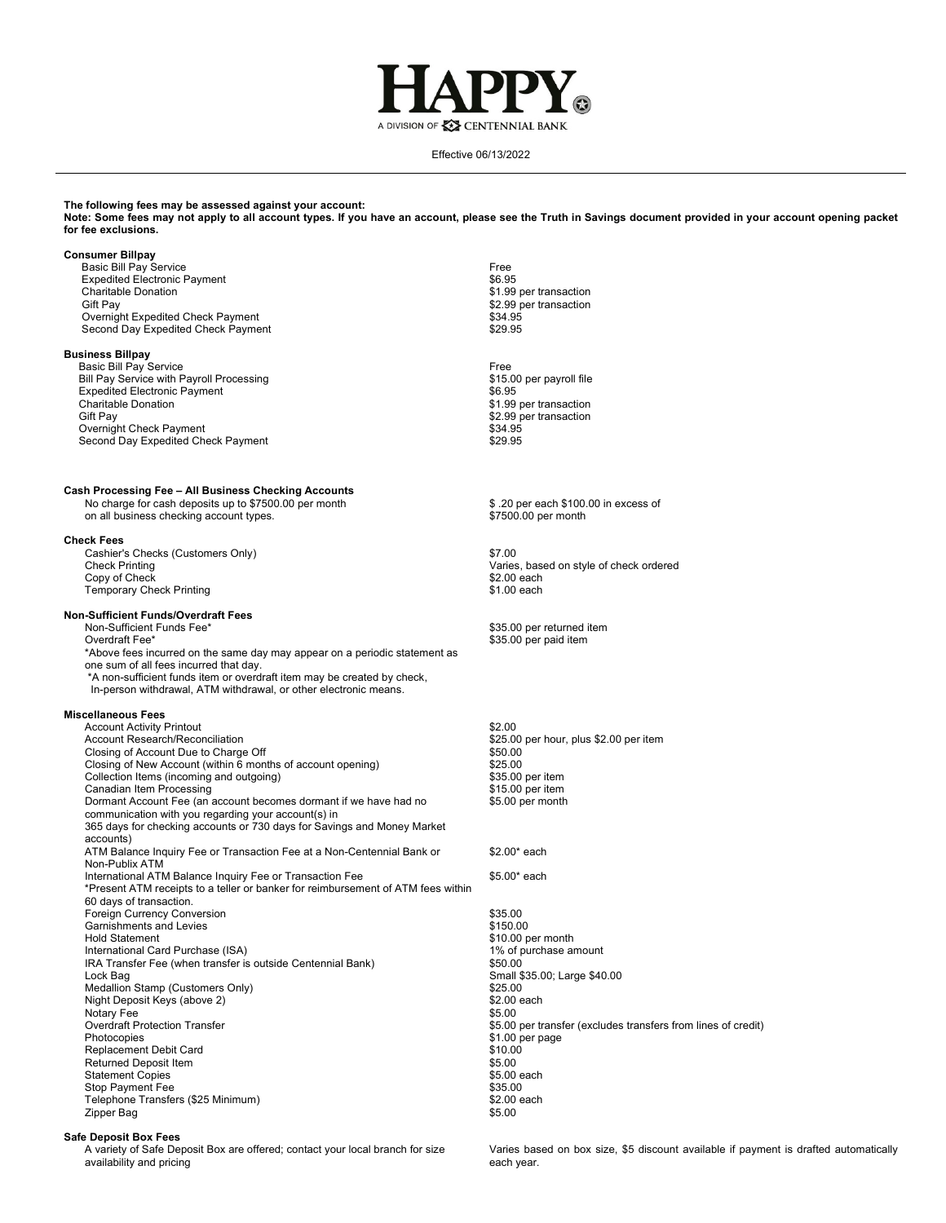

Effective 06/13/2022

# **The following fees may be assessed against your account:**

**Note: Some fees may not apply to all account types. If you have an account, please see the Truth in Savings document provided in your account opening packet for fee exclusions.**

#### **Consumer Billpay**

**Basic Bill Pay Service**  Expedited Electronic Payment Charitable Donation Gift Pay Overnight Expedited Check Payment Second Day Expedited Check Payment

# **Business Billpay**

 Basic Bill Pay Service Bill Pay Service with Payroll Processing Expedited Electronic Payment Charitable Donation Gift Pay Overnight Check Payment Second Day Expedited Check Payment

# **Cash Processing Fee – All Business Checking Accounts**

No charge for cash deposits up to \$7500.00 per month on all business checking account types.

#### **Check Fees**

**Cashier's Checks (Customers Only) \$7.00<br>
Check Printing (Customers Only) \$7.00** Copy of Check \$2.00 each **Temporary Check Printing** 

#### **Non-Sufficient Funds/Overdraft Fees**

**1001-Sufficient Funds Fee\* 1001-Sufficient Funds Fee\* 1001-Sufficient Funds Fee\* 535.00 per returned item**<br> **125.00 per paid item** \*Above fees incurred on the same day may appear on a periodic statement as one sum of all fees incurred that day. \*A non-sufficient funds item or overdraft item may be created by check, In-person withdrawal, ATM withdrawal, or other electronic means.

### **Miscellaneous Fees**

| <b>Account Activity Printout</b><br>Account Research/Reconciliation<br>Closing of Account Due to Charge Off | \$2.00<br>\$25.00 per<br>\$50.00 |
|-------------------------------------------------------------------------------------------------------------|----------------------------------|
| Closing of New Account (within 6 months of account opening)                                                 | \$25.00                          |
| Collection Items (incoming and outgoing)                                                                    | \$35.00 per i                    |
| Canadian Item Processing                                                                                    | \$15.00 per i                    |
| Dormant Account Fee (an account becomes dormant if we have had no                                           | \$5.00 per m                     |
| communication with you regarding your account(s) in                                                         |                                  |
| 365 days for checking accounts or 730 days for Savings and Money Market<br>accounts)                        |                                  |
| ATM Balance Inquiry Fee or Transaction Fee at a Non-Centennial Bank or<br>Non-Publix ATM                    | \$2.00* each                     |
| International ATM Balance Inquiry Fee or Transaction Fee                                                    | \$5.00* each                     |
| *Present ATM receipts to a teller or banker for reimbursement of ATM fees within                            |                                  |
| 60 days of transaction.                                                                                     |                                  |
| <b>Foreign Currency Conversion</b>                                                                          | \$35.00                          |
| Garnishments and Levies                                                                                     | \$150.00                         |
| <b>Hold Statement</b>                                                                                       | \$10.00 per                      |
| International Card Purchase (ISA)                                                                           | 1% of purch                      |
| IRA Transfer Fee (when transfer is outside Centennial Bank)                                                 | \$50.00                          |
| Lock Bag                                                                                                    | Small \$35.0                     |
| Medallion Stamp (Customers Only)                                                                            | \$25.00                          |
| Night Deposit Keys (above 2)                                                                                | $$2.00$ each                     |
| Notary Fee                                                                                                  | \$5.00                           |
| <b>Overdraft Protection Transfer</b>                                                                        | \$5.00 per tr                    |
| Photocopies                                                                                                 | \$1.00 per pa                    |
| Replacement Debit Card                                                                                      | \$10.00                          |
| <b>Returned Deposit Item</b>                                                                                | \$5.00                           |
| <b>Statement Copies</b>                                                                                     | \$5.00 each                      |
| Stop Payment Fee                                                                                            | \$35.00                          |
| Telephone Transfers (\$25 Minimum)                                                                          | \$2.00 each                      |
| Zipper Bag                                                                                                  | \$5.00                           |

# **Safe Deposit Box Fees**

A variety of Safe Deposit Box are offered; contact your local branch for size availability and pricing

Free \$6.95 \$1.99 per transaction \$2.99 per transaction \$34.95 \$29.95

Free \$15.00 per payroll file \$6.95 \$1.99 per transaction \$2.99 per transaction \$34.95 \$29.95

\$ .20 per each \$100.00 in excess of \$7500.00 per month

Varies, based on style of check ordered<br>\$2.00 each

\$35.00 per paid item

\$25.00 per hour, plus \$2.00 per item<br>\$50.00 \$35.00 per item \$15.00 per item \$5.00 per month

## \$2.00\* each

\$10.00 per month **1% of purchase amount<br>\$50.00 Small \$35.00; Large \$40.00<br>\$25.00**  $$2.00$  each<br>\$5.00 \$5.00 per transfer (excludes transfers from lines of credit) \$1.00 per page<br>\$10.00 \$5.00 \$5.00 each<br>\$35.00

Varies based on box size, \$5 discount available if payment is drafted automatically each year.